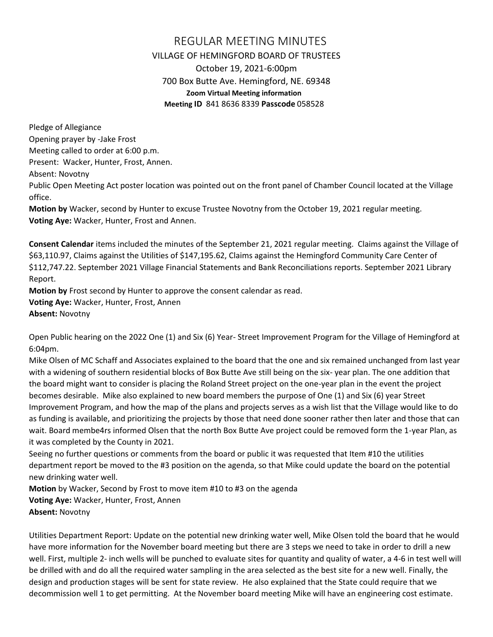## REGULAR MEETING MINUTES VILLAGE OF HEMINGFORD BOARD OF TRUSTEES October 19, 2021-6:00pm 700 Box Butte Ave. Hemingford, NE. 69348 **Zoom Virtual Meeting information Meeting ID** 841 8636 8339 **Passcode** 058528

Pledge of Allegiance Opening prayer by -Jake Frost Meeting called to order at 6:00 p.m. Present: Wacker, Hunter, Frost, Annen. Absent: Novotny Public Open Meeting Act poster location was pointed out on the front panel of Chamber Council located at the Village

office.

**Motion by** Wacker, second by Hunter to excuse Trustee Novotny from the October 19, 2021 regular meeting. **Voting Aye:** Wacker, Hunter, Frost and Annen.

**Consent Calendar** items included the minutes of the September 21, 2021 regular meeting. Claims against the Village of \$63,110.97, Claims against the Utilities of \$147,195.62, Claims against the Hemingford Community Care Center of \$112,747.22. September 2021 Village Financial Statements and Bank Reconciliations reports. September 2021 Library Report.

**Motion by** Frost second by Hunter to approve the consent calendar as read.

**Voting Aye:** Wacker, Hunter, Frost, Annen

**Absent:** Novotny

Open Public hearing on the 2022 One (1) and Six (6) Year- Street Improvement Program for the Village of Hemingford at 6:04pm.

Mike Olsen of MC Schaff and Associates explained to the board that the one and six remained unchanged from last year with a widening of southern residential blocks of Box Butte Ave still being on the six- year plan. The one addition that the board might want to consider is placing the Roland Street project on the one-year plan in the event the project becomes desirable. Mike also explained to new board members the purpose of One (1) and Six (6) year Street Improvement Program, and how the map of the plans and projects serves as a wish list that the Village would like to do as funding is available, and prioritizing the projects by those that need done sooner rather then later and those that can wait. Board membe4rs informed Olsen that the north Box Butte Ave project could be removed form the 1-year Plan, as it was completed by the County in 2021.

Seeing no further questions or comments from the board or public it was requested that Item #10 the utilities department report be moved to the #3 position on the agenda, so that Mike could update the board on the potential new drinking water well.

**Motion** by Wacker, Second by Frost to move item #10 to #3 on the agenda **Voting Aye:** Wacker, Hunter, Frost, Annen **Absent:** Novotny

Utilities Department Report: Update on the potential new drinking water well, Mike Olsen told the board that he would have more information for the November board meeting but there are 3 steps we need to take in order to drill a new well. First, multiple 2- inch wells will be punched to evaluate sites for quantity and quality of water, a 4-6 in test well will be drilled with and do all the required water sampling in the area selected as the best site for a new well. Finally, the design and production stages will be sent for state review. He also explained that the State could require that we decommission well 1 to get permitting. At the November board meeting Mike will have an engineering cost estimate.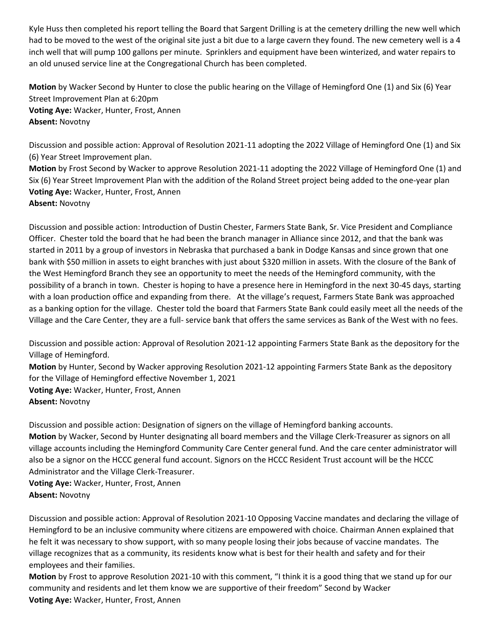Kyle Huss then completed his report telling the Board that Sargent Drilling is at the cemetery drilling the new well which had to be moved to the west of the original site just a bit due to a large cavern they found. The new cemetery well is a 4 inch well that will pump 100 gallons per minute. Sprinklers and equipment have been winterized, and water repairs to an old unused service line at the Congregational Church has been completed.

**Motion** by Wacker Second by Hunter to close the public hearing on the Village of Hemingford One (1) and Six (6) Year Street Improvement Plan at 6:20pm **Voting Aye:** Wacker, Hunter, Frost, Annen **Absent:** Novotny

Discussion and possible action: Approval of Resolution 2021-11 adopting the 2022 Village of Hemingford One (1) and Six (6) Year Street Improvement plan.

**Motion** by Frost Second by Wacker to approve Resolution 2021-11 adopting the 2022 Village of Hemingford One (1) and Six (6) Year Street Improvement Plan with the addition of the Roland Street project being added to the one-year plan **Voting Aye:** Wacker, Hunter, Frost, Annen

**Absent:** Novotny

Discussion and possible action: Introduction of Dustin Chester, Farmers State Bank, Sr. Vice President and Compliance Officer. Chester told the board that he had been the branch manager in Alliance since 2012, and that the bank was started in 2011 by a group of investors in Nebraska that purchased a bank in Dodge Kansas and since grown that one bank with \$50 million in assets to eight branches with just about \$320 million in assets. With the closure of the Bank of the West Hemingford Branch they see an opportunity to meet the needs of the Hemingford community, with the possibility of a branch in town. Chester is hoping to have a presence here in Hemingford in the next 30-45 days, starting with a loan production office and expanding from there. At the village's request, Farmers State Bank was approached as a banking option for the village. Chester told the board that Farmers State Bank could easily meet all the needs of the Village and the Care Center, they are a full- service bank that offers the same services as Bank of the West with no fees.

Discussion and possible action: Approval of Resolution 2021-12 appointing Farmers State Bank as the depository for the Village of Hemingford.

**Motion** by Hunter, Second by Wacker approving Resolution 2021-12 appointing Farmers State Bank as the depository for the Village of Hemingford effective November 1, 2021 **Voting Aye:** Wacker, Hunter, Frost, Annen

**Absent:** Novotny

Discussion and possible action: Designation of signers on the village of Hemingford banking accounts.

**Motion** by Wacker, Second by Hunter designating all board members and the Village Clerk-Treasurer as signors on all village accounts including the Hemingford Community Care Center general fund. And the care center administrator will also be a signor on the HCCC general fund account. Signors on the HCCC Resident Trust account will be the HCCC Administrator and the Village Clerk-Treasurer.

**Voting Aye:** Wacker, Hunter, Frost, Annen **Absent:** Novotny

Discussion and possible action: Approval of Resolution 2021-10 Opposing Vaccine mandates and declaring the village of Hemingford to be an inclusive community where citizens are empowered with choice. Chairman Annen explained that he felt it was necessary to show support, with so many people losing their jobs because of vaccine mandates. The village recognizes that as a community, its residents know what is best for their health and safety and for their employees and their families.

**Motion** by Frost to approve Resolution 2021-10 with this comment, "I think it is a good thing that we stand up for our community and residents and let them know we are supportive of their freedom" Second by Wacker **Voting Aye:** Wacker, Hunter, Frost, Annen